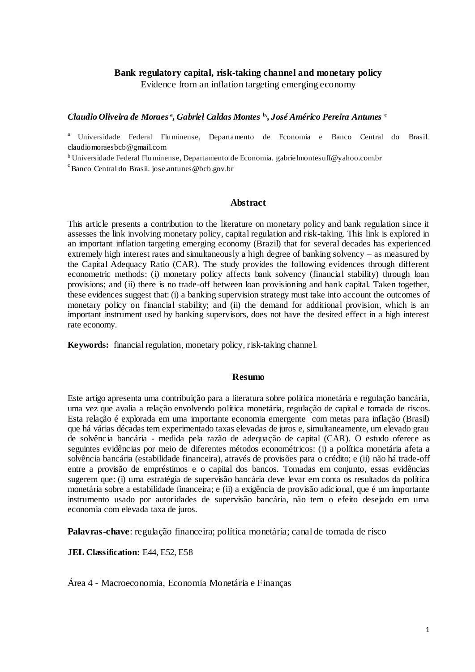# **Bank regulatory capital, risk-taking channel and monetary policy** Evidence from an inflation targeting emerging economy

### *Claudio Oliveira de Moraes* **<sup>a</sup> ,** *Gabriel Caldas Montes* **b, ,** *José Américo Pereira Antunes* **<sup>c</sup>**

<sup>a</sup> Universidade Federal Fluminense, Departamento de Economia e Banco Central do Brasil. claudiomoraesbcb@gmail.com

<sup>b</sup>Universidade Federal Fluminense, Departamento de Economia*.* gabrielmontesuff@yahoo.com.br

 $\degree$ Banco Central do Brasil. jose.antunes@bcb.gov.br

#### **Abstract**

This article presents a contribution to the literature on monetary policy and bank regulation since it assesses the link involving monetary policy, capital regulation and risk-taking. This link is explored in an important inflation targeting emerging economy (Brazil) that for several decades has experienced extremely high interest rates and simultaneously a high degree of banking solvency – as measured by the Capital Adequacy Ratio (CAR). The study provides the following evidences through different econometric methods: (i) monetary policy affects bank solvency (financial stability) through loan provisions; and (ii) there is no trade-off between loan provisioning and bank capital. Taken together, these evidences suggest that: (i) a banking supervision strategy must take into account the outcomes of monetary policy on financial stability; and (ii) the demand for additional provision, which is an important instrument used by banking supervisors, does not have the desired effect in a high interest rate economy.

**Keywords:** financial regulation, monetary policy, risk-taking channel.

#### **Resumo**

Este artigo apresenta uma contribuição para a literatura sobre política monetária e regulação bancária, uma vez que avalia a relação envolvendo política monetária, regulação de capital e tomada de riscos. Esta relação é explorada em uma importante economia emergente com metas para inflação (Brasil) que há várias décadas tem experimentado taxas elevadas de juros e, simultaneamente, um elevado grau de solvência bancária - medida pela razão de adequação de capital (CAR). O estudo oferece as seguintes evidências por meio de diferentes métodos econométricos: (i) a política monetária afeta a solvência bancária (estabilidade financeira), através de provisões para o crédito; e (ii) não há trade-off entre a provisão de empréstimos e o capital dos bancos. Tomadas em conjunto, essas evidências sugerem que: (i) uma estratégia de supervisão bancária deve levar em conta os resultados da política monetária sobre a estabilidade financeira; e (ii) a exigência de provisão adicional, que é um importante instrumento usado por autoridades de supervisão bancária, não tem o efeito desejado em uma economia com elevada taxa de juros.

**Palavras-chave**: regulação financeira; política monetária; canal de tomada de risco

**JEL Classification:** E44, E52, E58

Área 4 - Macroeconomia, Economia Monetária e Finanças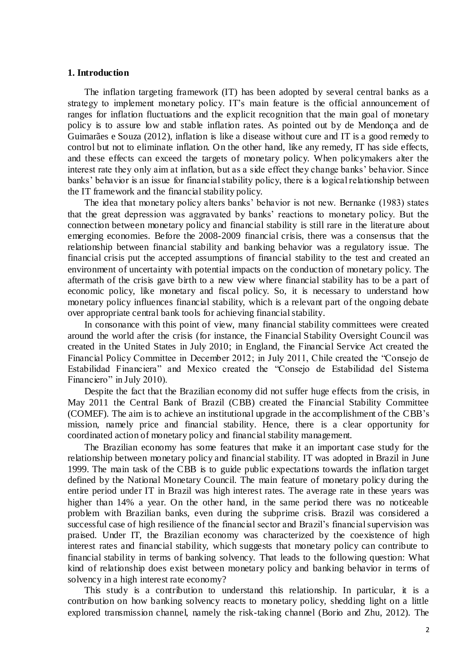#### **1. Introduction**

The inflation targeting framework (IT) has been adopted by several central banks as a strategy to implement monetary policy. IT's main feature is the official announcement of ranges for inflation fluctuations and the explicit recognition that the main goal of monetary policy is to assure low and stable inflation rates. As pointed out by de Mendonça and de Guimarães e Souza (2012), inflation is like a disease without cure and IT is a good remedy to control but not to eliminate inflation. On the other hand, like any remedy, IT has side effects, and these effects can exceed the targets of monetary policy. When policymakers alter the interest rate they only aim at inflation, but as a side effect they change banks' behavior. Since banks' behavior is an issue for financial stability policy, there is a logical relationship between the IT framework and the financial stability policy.

The idea that monetary policy alters banks' behavior is not new. Bernanke (1983) states that the great depression was aggravated by banks' reactions to monetary policy. But the connection between monetary policy and financial stability is still rare in the literature about emerging economies. Before the 2008-2009 financial crisis, there was a consensus that the relationship between financial stability and banking behavior was a regulatory issue. The financial crisis put the accepted assumptions of financial stability to the test and created an environment of uncertainty with potential impacts on the conduction of monetary policy. The aftermath of the crisis gave birth to a new view where financial stability has to be a part of economic policy, like monetary and fiscal policy. So, it is necessary to understand how monetary policy influences financial stability, which is a relevant part of the ongoing debate over appropriate central bank tools for achieving financial stability.

In consonance with this point of view, many financial stability committees were created around the world after the crisis (for instance, the Financial Stability Oversight Council was created in the United States in July 2010; in England, the Financial Service Act created the Financial Policy Committee in December 2012; in July 2011, Chile created the "Consejo de Estabilidad Financiera" and Mexico created the "Consejo de Estabilidad del Sistema Financiero" in July 2010).

Despite the fact that the Brazilian economy did not suffer huge effects from the crisis, in May 2011 the Central Bank of Brazil (CBB) created the Financial Stability Committee (COMEF). The aim is to achieve an institutional upgrade in the accomplishment of the CBB's mission, namely price and financial stability. Hence, there is a clear opportunity for coordinated action of monetary policy and financial stability management.

The Brazilian economy has some features that make it an important case study for the relationship between monetary policy and financial stability. IT was adopted in Brazil in June 1999. The main task of the CBB is to guide public expectations towards the inflation target defined by the National Monetary Council. The main feature of monetary policy during the entire period under IT in Brazil was high interest rates. The average rate in these years was higher than 14% a year. On the other hand, in the same period there was no noticeable problem with Brazilian banks, even during the subprime crisis. Brazil was considered a successful case of high resilience of the financial sector and Brazil's financial supervision was praised. Under IT, the Brazilian economy was characterized by the coexistence of high interest rates and financial stability, which suggests that monetary policy can contribute to financial stability in terms of banking solvency. That leads to the following question: What kind of relationship does exist between monetary policy and banking behavior in terms of solvency in a high interest rate economy?

This study is a contribution to understand this relationship. In particular, it is a contribution on how banking solvency reacts to monetary policy, shedding light on a little explored transmission channel, namely the risk-taking channel (Borio and Zhu, 2012). The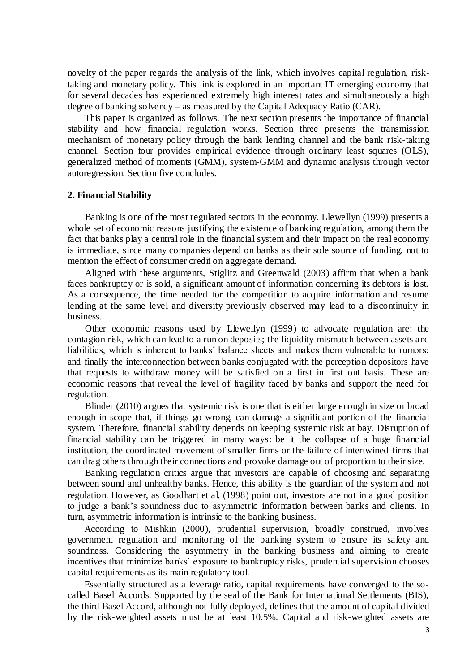novelty of the paper regards the analysis of the link, which involves capital regulation, risktaking and monetary policy. This link is explored in an important IT emerging economy that for several decades has experienced extremely high interest rates and simultaneously a high degree of banking solvency – as measured by the Capital Adequacy Ratio (CAR).

This paper is organized as follows. The next section presents the importance of financial stability and how financial regulation works. Section three presents the transmission mechanism of monetary policy through the bank lending channel and the bank risk-taking channel. Section four provides empirical evidence through ordinary least squares (OLS), generalized method of moments (GMM), system-GMM and dynamic analysis through vector autoregression. Section five concludes.

#### **2. Financial Stability**

Banking is one of the most regulated sectors in the economy. Llewellyn (1999) presents a whole set of economic reasons justifying the existence of banking regulation, among them the fact that banks play a central role in the financial system and their impact on the real economy is immediate, since many companies depend on banks as their sole source of funding, not to mention the effect of consumer credit on aggregate demand.

Aligned with these arguments, Stiglitz and Greenwald (2003) affirm that when a bank faces bankruptcy or is sold, a significant amount of information concerning its debtors is lost. As a consequence, the time needed for the competition to acquire information and resume lending at the same level and diversity previously observed may lead to a discontinuity in business.

Other economic reasons used by Llewellyn (1999) to advocate regulation are: the contagion risk, which can lead to a run on deposits; the liquidity mismatch between assets and liabilities, which is inherent to banks' balance sheets and makes them vulnerable to rumors; and finally the interconnection between banks conjugated with the perception depositors have that requests to withdraw money will be satisfied on a first in first out basis. These are economic reasons that reveal the level of fragility faced by banks and support the need for regulation.

Blinder (2010) argues that systemic risk is one that is either large enough in size or broad enough in scope that, if things go wrong, can damage a significant portion of the financial system. Therefore, financial stability depends on keeping systemic risk at bay. Disruption of financial stability can be triggered in many ways: be it the collapse of a huge financ ial institution, the coordinated movement of smaller firms or the failure of intertwined firms that can drag others through their connections and provoke damage out of proportion to their size.

Banking regulation critics argue that investors are capable of choosing and separating between sound and unhealthy banks. Hence, this ability is the guardian of the system and not regulation. However, as Goodhart et al. (1998) point out, investors are not in a good position to judge a bank's soundness due to asymmetric information between banks and clients. In turn, asymmetric information is intrinsic to the banking business.

According to Mishkin (2000), prudential supervision, broadly construed, involves government regulation and monitoring of the banking system to ensure its safety and soundness. Considering the asymmetry in the banking business and aiming to create incentives that minimize banks' exposure to bankruptcy risks, prudential supervision chooses capital requirements as its main regulatory tool.

Essentially structured as a leverage ratio, capital requirements have converged to the socalled Basel Accords. Supported by the seal of the Bank for International Settlements (BIS), the third Basel Accord, although not fully deployed, defines that the amount of capital divided by the risk-weighted assets must be at least 10.5%. Capital and risk-weighted assets are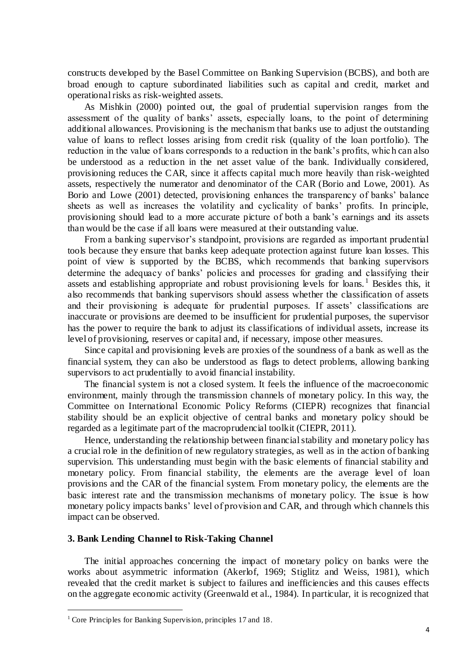constructs developed by the Basel Committee on Banking Supervision (BCBS), and both are broad enough to capture subordinated liabilities such as capital and credit, market and operational risks as risk-weighted assets.

As Mishkin (2000) pointed out, the goal of prudential supervision ranges from the assessment of the quality of banks' assets, especially loans, to the point of determining additional allowances. Provisioning is the mechanism that banks use to adjust the outstanding value of loans to reflect losses arising from credit risk (quality of the loan portfolio). The reduction in the value of loans corresponds to a reduction in the bank's profits, whic h can also be understood as a reduction in the net asset value of the bank. Individually considered, provisioning reduces the CAR, since it affects capital much more heavily than risk-weighted assets, respectively the numerator and denominator of the CAR (Borio and Lowe, 2001). As Borio and Lowe (2001) detected, provisioning enhances the transparency of banks' balance sheets as well as increases the volatility and cyclicality of banks' profits. In principle, provisioning should lead to a more accurate picture of both a bank's earnings and its assets than would be the case if all loans were measured at their outstanding value.

From a banking supervisor's standpoint, provisions are regarded as important prudential tools because they ensure that banks keep adequate protection against future loan losses. This point of view is supported by the BCBS, which recommends that banking supervisors determine the adequacy of banks' policies and processes for grading and classifying their assets and establishing appropriate and robust provisioning levels for loans.<sup>1</sup> Besides this, it also recommends that banking supervisors should assess whether the classification of assets and their provisioning is adequate for prudential purposes. If assets' classifications are inaccurate or provisions are deemed to be insufficient for prudential purposes, the supervisor has the power to require the bank to adjust its classifications of individual assets, increase its level of provisioning, reserves or capital and, if necessary, impose other measures.

Since capital and provisioning levels are proxies of the soundness of a bank as well as the financial system, they can also be understood as flags to detect problems, allowing banking supervisors to act prudentially to avoid financial instability.

The financial system is not a closed system. It feels the influence of the macroeconomic environment, mainly through the transmission channels of monetary policy. In this way, the Committee on International Economic Policy Reforms (CIEPR) recognizes that financial stability should be an explicit objective of central banks and monetary policy should be regarded as a legitimate part of the macroprudencial toolkit (CIEPR, 2011).

Hence, understanding the relationship between financial stability and monetary policy has a crucial role in the definition of new regulatory strategies, as well as in the action of banking supervision. This understanding must begin with the basic elements of financial stability and monetary policy. From financial stability, the elements are the average level of loan provisions and the CAR of the financial system. From monetary policy, the elements are the basic interest rate and the transmission mechanisms of monetary policy. The issue is how monetary policy impacts banks' level of provision and CAR, and through which channels this impact can be observed.

### **3. Bank Lending Channel to Risk-Taking Channel**

The initial approaches concerning the impact of monetary policy on banks were the works about asymmetric information (Akerlof, 1969; Stiglitz and Weiss, 1981), which revealed that the credit market is subject to failures and inefficiencies and this causes effects on the aggregate economic activity (Greenwald et al., 1984). In particular, it is recognized that

<sup>&</sup>lt;sup>1</sup> Core Principles for Banking Supervision, principles 17 and 18.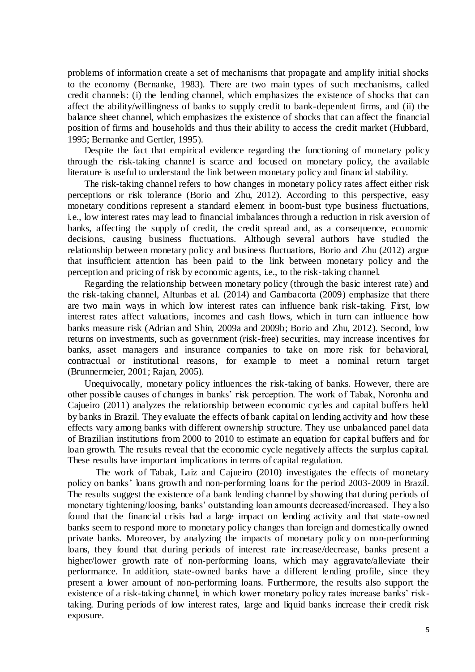problems of information create a set of mechanisms that propagate and amplify initial shocks to the economy (Bernanke, 1983). There are two main types of such mechanisms, called credit channels: (i) the lending channel, which emphasizes the existence of shocks that can affect the ability/willingness of banks to supply credit to bank-dependent firms, and (ii) the balance sheet channel, which emphasizes the existence of shocks that can affect the financial position of firms and households and thus their ability to access the credit market (Hubbard, 1995; Bernanke and Gertler, 1995).

Despite the fact that empirical evidence regarding the functioning of monetary policy through the risk-taking channel is scarce and focused on monetary policy, the available literature is useful to understand the link between monetary policy and financial stability.

The risk-taking channel refers to how changes in monetary policy rates affect either risk perceptions or risk tolerance (Borio and Zhu, 2012). According to this perspective, easy monetary conditions represent a standard element in boom-bust type business fluctuations, i.e., low interest rates may lead to financial imbalances through a reduction in risk aversion of banks, affecting the supply of credit, the credit spread and, as a consequence, economic decisions, causing business fluctuations. Although several authors have studied the relationship between monetary policy and business fluctuations, Borio and Zhu (2012) argue that insufficient attention has been paid to the link between monetary policy and the perception and pricing of risk by economic agents, i.e., to the risk-taking channel.

Regarding the relationship between monetary policy (through the basic interest rate) and the risk-taking channel, Altunbas et al. (2014) and Gambacorta (2009) emphasize that there are two main ways in which low interest rates can influence bank risk-taking. First, low interest rates affect valuations, incomes and cash flows, which in turn can influence how banks measure risk (Adrian and Shin, 2009a and 2009b; Borio and Zhu, 2012). Second, low returns on investments, such as government (risk-free) securities, may increase incentives for banks, asset managers and insurance companies to take on more risk for behavioral, contractual or institutional reasons, for example to meet a nominal return target (Brunnermeier, 2001; Rajan, 2005).

Unequivocally, monetary policy influences the risk-taking of banks. However, there are other possible causes of changes in banks' risk perception. The work of Tabak, Noronha and Cajueiro (2011) analyzes the relationship between economic cycles and capital buffers held by banks in Brazil. They evaluate the effects of bank capital on lending activity and how these effects vary among banks with different ownership structure. They use unbalanced panel data of Brazilian institutions from 2000 to 2010 to estimate an equation for capital buffers and for loan growth. The results reveal that the economic cycle negatively affects the surplus capital. These results have important implications in terms of capital regulation.

The work of Tabak, Laiz and Cajueiro (2010) investigates the effects of monetary policy on banks' loans growth and non-performing loans for the period 2003-2009 in Brazil. The results suggest the existence of a bank lending channel by showing that during periods of monetary tightening/loosing, banks' outstanding loan amounts decreased/increased. They a lso found that the financial crisis had a large impact on lending activity and that state-owned banks seem to respond more to monetary policy changes than foreign and domestically owned private banks. Moreover, by analyzing the impacts of monetary policy on non-performing loans, they found that during periods of interest rate increase/decrease, banks present a higher/lower growth rate of non-performing loans, which may aggravate/alleviate their performance. In addition, state-owned banks have a different lending profile, since they present a lower amount of non-performing loans. Furthermore, the results also support the existence of a risk-taking channel, in which lower monetary policy rates increase banks' risktaking. During periods of low interest rates, large and liquid banks increase their credit risk exposure.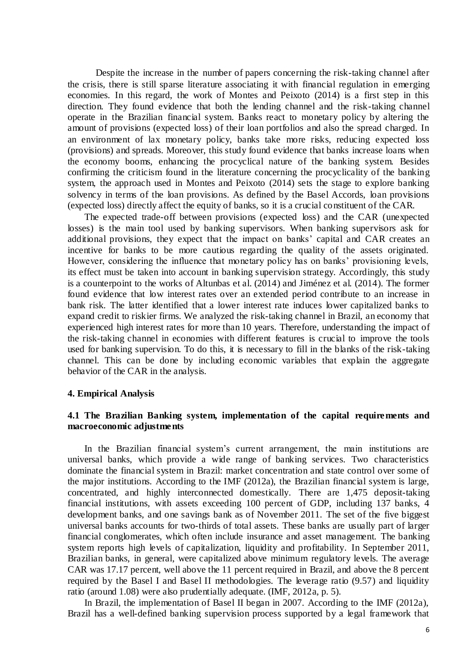Despite the increase in the number of papers concerning the risk-taking channel after the crisis, there is still sparse literature associating it with financial regulation in emerging economies. In this regard, the work of Montes and Peixoto (2014) is a first step in this direction. They found evidence that both the lending channel and the risk-taking channel operate in the Brazilian financial system. Banks react to monetary policy by altering the amount of provisions (expected loss) of their loan portfolios and also the spread charged. In an environment of lax monetary policy, banks take more risks, reducing expected loss (provisions) and spreads. Moreover, this study found evidence that banks increase loans when the economy booms, enhancing the procyclical nature of the banking system. Besides confirming the criticism found in the literature concerning the procyclicality of the banking system, the approach used in Montes and Peixoto (2014) sets the stage to explore banking solvency in terms of the loan provisions. As defined by the Basel Accords, loan provisions (expected loss) directly affect the equity of banks, so it is a crucial constituent of the CAR.

The expected trade-off between provisions (expected loss) and the CAR (unexpected losses) is the main tool used by banking supervisors. When banking supervisors ask for additional provisions, they expect that the impact on banks' capital and CAR creates an incentive for banks to be more cautious regarding the quality of the assets originated. However, considering the influence that monetary policy has on banks' provisioning levels, its effect must be taken into account in banking supervision strategy. Accordingly, this study is a counterpoint to the works of Altunbas et al. (2014) and Jiménez et al. (2014). The former found evidence that low interest rates over an extended period contribute to an increase in bank risk. The latter identified that a lower interest rate induces lower capitalized banks to expand credit to riskier firms. We analyzed the risk-taking channel in Brazil, an economy that experienced high interest rates for more than 10 years. Therefore, understanding the impact of the risk-taking channel in economies with different features is crucial to improve the tools used for banking supervision. To do this, it is necessary to fill in the blanks of the risk-taking channel. This can be done by including economic variables that explain the aggregate behavior of the CAR in the analysis.

## **4. Empirical Analysis**

## **4.1 The Brazilian Banking system, implementation of the capital requirements and macroeconomic adjustments**

In the Brazilian financial system's current arrangement, the main institutions are universal banks, which provide a wide range of banking services. Two characteristics dominate the financial system in Brazil: market concentration and state control over some of the major institutions. According to the IMF (2012a), the Brazilian financial system is large, concentrated, and highly interconnected domestically. There are 1,475 deposit-taking financial institutions, with assets exceeding 100 percent of GDP, including 137 banks, 4 development banks, and one savings bank as of November 2011. The set of the five biggest universal banks accounts for two-thirds of total assets. These banks are usually part of larger financial conglomerates, which often include insurance and asset management. The banking system reports high levels of capitalization, liquidity and profitability. In September 2011, Brazilian banks, in general, were capitalized above minimum regulatory levels. The average CAR was 17.17 percent, well above the 11 percent required in Brazil, and above the 8 percent required by the Basel I and Basel II methodologies. The leverage ratio (9.57) and liquidity ratio (around 1.08) were also prudentially adequate. (IMF, 2012a, p. 5).

In Brazil, the implementation of Basel II began in 2007. According to the IMF (2012a), Brazil has a well-defined banking supervision process supported by a legal framework that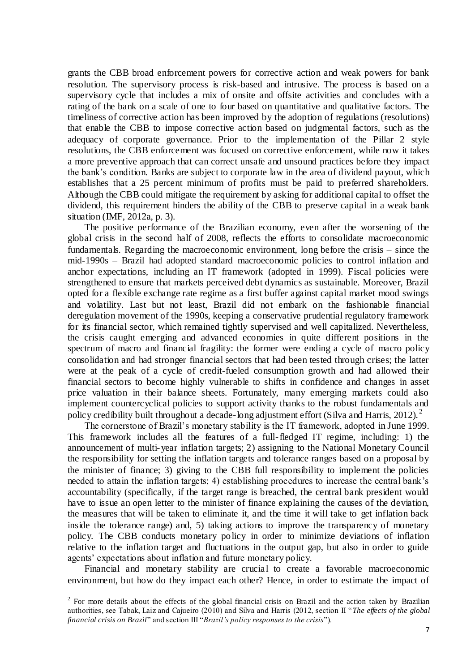grants the CBB broad enforcement powers for corrective action and weak powers for bank resolution. The supervisory process is risk-based and intrusive. The process is based on a supervisory cycle that includes a mix of onsite and offsite activities and concludes with a rating of the bank on a scale of one to four based on quantitative and qualitative factors. The timeliness of corrective action has been improved by the adoption of regulations (resolutions) that enable the CBB to impose corrective action based on judgmental factors, such as the adequacy of corporate governance. Prior to the implementation of the Pillar 2 style resolutions, the CBB enforcement was focused on corrective enforcement, while now it takes a more preventive approach that can correct unsafe and unsound practices before they impact the bank's condition. Banks are subject to corporate law in the area of dividend payout, which establishes that a 25 percent minimum of profits must be paid to preferred shareholders. Although the CBB could mitigate the requirement by asking for additional capital to offset the dividend, this requirement hinders the ability of the CBB to preserve capital in a weak bank situation (IMF, 2012a, p. 3).

The positive performance of the Brazilian economy, even after the worsening of the global crisis in the second half of 2008, reflects the efforts to consolidate macroeconomic fundamentals. Regarding the macroeconomic environment, long before the crisis – since the mid-1990s – Brazil had adopted standard macroeconomic policies to control inflation and anchor expectations, including an IT framework (adopted in 1999). Fiscal policies were strengthened to ensure that markets perceived debt dynamics as sustainable. Moreover, Brazil opted for a flexible exchange rate regime as a first buffer against capital market mood swings and volatility. Last but not least, Brazil did not embark on the fashionable financial deregulation movement of the 1990s, keeping a conservative prudential regulatory framework for its financial sector, which remained tightly supervised and well capitalized. Nevertheless, the crisis caught emerging and advanced economies in quite different positions in the spectrum of macro and financial fragility: the former were ending a cycle of macro policy consolidation and had stronger financial sectors that had been tested through crises; the latter were at the peak of a cycle of credit-fueled consumption growth and had allowed their financial sectors to become highly vulnerable to shifts in confidence and changes in asset price valuation in their balance sheets. Fortunately, many emerging markets could also implement countercyclical policies to support activity thanks to the robust fundamentals and policy credibility built throughout a decade-long adjustment effort (Silva and Harris, 2012).  $2^2$ 

The cornerstone of Brazil's monetary stability is the IT framework, adopted in June 1999. This framework includes all the features of a full-fledged IT regime, including: 1) the announcement of multi-year inflation targets; 2) assigning to the National Monetary Council the responsibility for setting the inflation targets and tolerance ranges based on a proposal by the minister of finance; 3) giving to the CBB full responsibility to implement the policies needed to attain the inflation targets; 4) establishing procedures to increase the central bank's accountability (specifically, if the target range is breached, the central bank president would have to issue an open letter to the minister of finance explaining the causes of the deviation, the measures that will be taken to eliminate it, and the time it will take to get inflation back inside the tolerance range) and, 5) taking actions to improve the transparency of monetary policy. The CBB conducts monetary policy in order to minimize deviations of inflation relative to the inflation target and fluctuations in the output gap, but also in order to guide agents' expectations about inflation and future monetary policy.

Financial and monetary stability are crucial to create a favorable macroeconomic environment, but how do they impact each other? Hence, in order to estimate the impact of

 $2^2$  For more details about the effects of the global financial crisis on Brazil and the action taken by Brazilian authorities, see Tabak, Laiz and Cajueiro (2010) and Silva and Harris (2012, section II "*The effects of the global financial crisis on Brazil*" and section III "*Brazil's policy responses to the crisis*").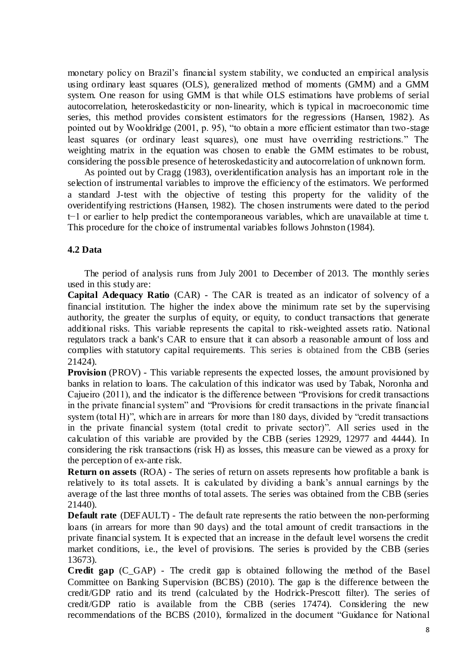monetary policy on Brazil's financial system stability, we conducted an empirical analysis using ordinary least squares (OLS), generalized method of moments (GMM) and a GMM system. One reason for using GMM is that while OLS estimations have problems of serial autocorrelation, heteroskedasticity or non-linearity, which is typical in macroeconomic time series, this method provides consistent estimators for the regressions (Hansen, 1982). As pointed out by Wooldridge (2001, p. 95), "to obtain a more efficient estimator than two-stage least squares (or ordinary least squares), one must have overriding restrictions." The weighting matrix in the equation was chosen to enable the GMM estimates to be robust, considering the possible presence of heteroskedasticity and autocorrelation of unknown form.

As pointed out by Cragg (1983), overidentification analysis has an important role in the selection of instrumental variables to improve the efficiency of the estimators. We performed a standard J-test with the objective of testing this property for the validity of the overidentifying restrictions (Hansen, 1982). The chosen instruments were dated to the period t−1 or earlier to help predict the contemporaneous variables, which are unavailable at time t. This procedure for the choice of instrumental variables follows Johnston (1984).

## **4.2 Data**

The period of analysis runs from July 2001 to December of 2013. The monthly series used in this study are:

**Capital Adequacy Ratio** (CAR) - The CAR is treated as an indicator of solvency of a financial institution. The higher the index above the minimum rate set by the supervising authority, the greater the surplus of equity, or equity, to conduct transactions that generate additional risks. This variable represents the capital to risk-weighted assets ratio. [National](http://en.wikipedia.org/wiki/Bank_regulation)  [regulators](http://en.wikipedia.org/wiki/Bank_regulation) track a bank's CAR to ensure that it can absorb a reasonable amount of loss and complies with statutory [capital requirements.](http://en.wikipedia.org/wiki/Capital_requirement) This series is obtained from the CBB (series 21424).

**Provision** (PROV) - This variable represents the expected losses, the amount provisioned by banks in relation to loans. The calculation of this indicator was used by Tabak, Noronha and Cajueiro (2011), and the indicator is the difference between "Provisions for credit transactions in the private financial system" and "Provisions for credit transactions in the private financial system (total H)", which are in arrears for more than 180 days, divided by "credit transactions in the private financial system (total credit to private sector)". All series used in the calculation of this variable are provided by the CBB (series 12929, 12977 and 4444). In considering the risk transactions (risk H) as losses, this measure can be viewed as a proxy for the perception of ex-ante risk.

**Return on assets** (ROA) - The series of return on assets represents how profitable a bank is relatively to its total assets. It is calculated by dividing a bank's annual earnings by the average of the last three months of total assets. The series was obtained from the CBB (series 21440).

**Default rate** (DEFAULT) - The default rate represents the ratio between the non-performing loans (in arrears for more than 90 days) and the total amount of credit transactions in the private financial system. It is expected that an increase in the default level worsens the credit market conditions, i.e., the level of provisions. The series is provided by the CBB (series 13673).

**Credit gap** (C\_GAP) - The credit gap is obtained following the method of the Basel Committee on Banking Supervision (BCBS) (2010). The gap is the difference between the credit/GDP ratio and its trend (calculated by the Hodrick-Prescott filter). The series of credit/GDP ratio is available from the CBB (series 17474). Considering the new recommendations of the BCBS (2010), formalized in the document "Guidance for National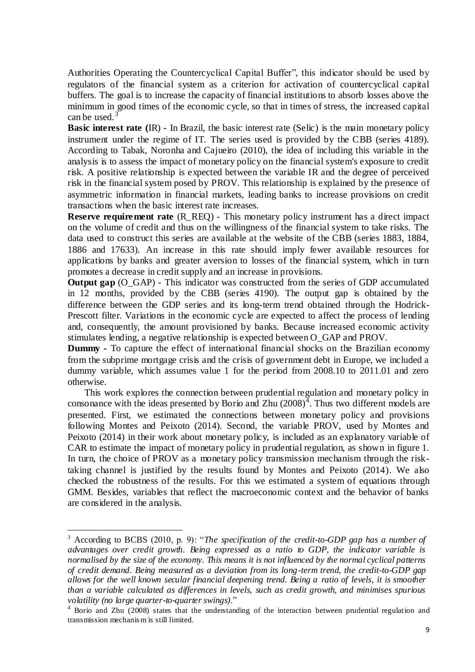Authorities Operating the Countercyclical Capital Buffer", this indicator should be used by regulators of the financial system as a criterion for activation of countercyclical capital buffers. The goal is to increase the capacity of financial institutions to absorb losses above the minimum in good times of the economic cycle, so that in times of stress, the increased capital can be used. $3$ 

**Basic interest rate (**IR) - In Brazil, the basic interest rate (Selic) is the main monetary policy instrument under the regime of IT. The series used is provided by the CBB (series 4189). According to Tabak, Noronha and Cajueiro (2010), the idea of including this variable in the analysis is to assess the impact of monetary policy on the financial system's exposure to credit risk. A positive relationship is expected between the variable IR and the degree of perceived risk in the financial system posed by PROV. This relationship is explained by the presence of asymmetric information in financial markets, leading banks to increase provisions on credit transactions when the basic interest rate increases.

**Reserve requirement rate** (R\_REQ) - This monetary policy instrument has a direct impact on the volume of credit and thus on the willingness of the financial system to take risks. The data used to construct this series are available at the website of the CBB (series 1883, 1884, 1886 and 17633). An increase in this rate should imply fewer available resources for applications by banks and greater aversion to losses of the financial system, which in turn promotes a decrease in credit supply and an increase in provisions.

**Output gap** (O GAP) - This indicator was constructed from the series of GDP accumulated in 12 months, provided by the CBB (series 4190). The output gap is obtained by the difference between the GDP series and its long-term trend obtained through the Hodrick-Prescott filter. Variations in the economic cycle are expected to affect the process of lending and, consequently, the amount provisioned by banks. Because increased economic activity stimulates lending, a negative relationship is expected between O\_GAP and PROV.

**Dummy -** To capture the effect of international financial shocks on the Brazilian economy from the subprime mortgage crisis and the crisis of government debt in Europe, we included a dummy variable, which assumes value 1 for the period from 2008.10 to 2011.01 and zero otherwise.

This work explores the connection between prudential regulation and monetary policy in consonance with the ideas presented by Borio and Zhu  $(2008)^{3}$ . Thus two different models are presented. First, we estimated the connections between monetary policy and provisions following Montes and Peixoto (2014). Second, the variable PROV, used by Montes and Peixoto (2014) in their work about monetary policy, is included as an explanatory variable of CAR to estimate the impact of monetary policy in prudential regulation, as shown in figure 1. In turn, the choice of PROV as a monetary policy transmission mechanism through the risktaking channel is justified by the results found by Montes and Peixoto (2014). We also checked the robustness of the results. For this we estimated a system of equations through GMM. Besides, variables that reflect the macroeconomic context and the behavior of banks are considered in the analysis.

<sup>3</sup> According to BCBS (2010, p. 9): "*The specification of the credit-to-GDP gap has a number of advantages over credit growth. Being expressed as a ratio to GDP, the indicator variable is normalised by the size of the economy. This means it is not influenced by the normal cyclical patterns of credit demand. Being measured as a deviation from its long-term trend, the credit-to-GDP gap allows for the well known secular financial deepening trend. Being a ratio of levels, it is smoother than a variable calculated as differences in levels, such as credit growth, and minimises spurious volatility (no large quarter-to-quarter swings)*."

<sup>4</sup> Borio and Zhu (2008) states that the understanding of the interaction between prudential regulation and transmission mechanis m is still limited.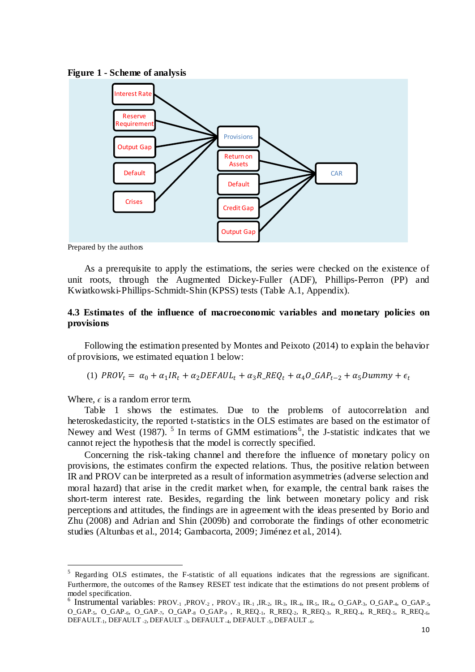



Prepared by the authors

As a prerequisite to apply the estimations, the series were checked on the existence of unit roots, through the Augmented Dickey-Fuller (ADF), Phillips-Perron (PP) and Kwiatkowski-Phillips-Schmidt-Shin (KPSS) tests (Table A.1, Appendix).

## **4.3 Estimates of the influence of macroeconomic variables and monetary policies on provisions**

Following the estimation presented by Montes and Peixoto (2014) to explain the behavior of provisions, we estimated equation 1 below:

(1) 
$$
PROV_t = \alpha_0 + \alpha_1 IR_t + \alpha_2 DEFAUL_t + \alpha_3 R\_REQ_t + \alpha_4 O\_GAP_{t-2} + \alpha_5 Dummy + \epsilon_t
$$

Where,  $\epsilon$  is a random error term.

 $\overline{a}$ 

Table 1 shows the estimates. Due to the problems of autocorrelation and heteroskedasticity, the reported t-statistics in the OLS estimates are based on the estimator of Newey and West (1987).  $5$  In terms of GMM estimations<sup>6</sup>, the J-statistic indicates that we cannot reject the hypothesis that the model is correctly specified.

Concerning the risk-taking channel and therefore the influence of monetary policy on provisions, the estimates confirm the expected relations. Thus, the positive relation between IR and PROV can be interpreted as a result of information asymmetries (adverse selection and moral hazard) that arise in the credit market when, for example, the central bank raises the short-term interest rate. Besides, regarding the link between monetary policy and risk perceptions and attitudes, the findings are in agreement with the ideas presented by Borio and Zhu (2008) and Adrian and Shin (2009b) and corroborate the findings of other econometric studies (Altunbas et al., 2014; Gambacorta, 2009; Jiménez et al., 2014).

<sup>5</sup> Regarding OLS estimates, the F-statistic of all equations indicates that the regressions are significant. Furthermore, the outcomes of the Ramsey RESET test indicate that the estimations do not present problems of model specification.

<sup>&</sup>lt;sup>6</sup> Instrumental variables: PROV<sub>-1</sub>, PROV<sub>-2</sub>, PROV<sub>-3</sub> IR<sub>-1</sub>, IR<sub>-2</sub>, IR<sub>-3</sub>, IR<sub>-4</sub>, IR<sub>-5</sub>, IR<sub>-6</sub>, O\_GAP<sub>-3</sub>, O\_GAP<sub>-4</sub>, O\_GAP<sub>-5</sub>,  $O_GAP_{-5}$ ,  $O_GAP_{-6}$ ,  $O_GAP_{-7}$ ,  $O_GAP_{-8}$ ,  $O_GAP_{-9}$ ,  $R_REQ_{-1}$ ,  $R_REQ_{-2}$ ,  $R_REQ_{-3}$ ,  $R_REQ_{-4}$ ,  $R_REQ_{-5}$ ,  $R_REQ_{-6}$ , DEFAULT<sub>-1</sub>, DEFAULT<sub>-2</sub>, DEFAULT<sub>-3</sub>, DEFAULT<sub>-4</sub>, DEFAULT<sub>-5</sub>, DEFAULT<sub>-6</sub>.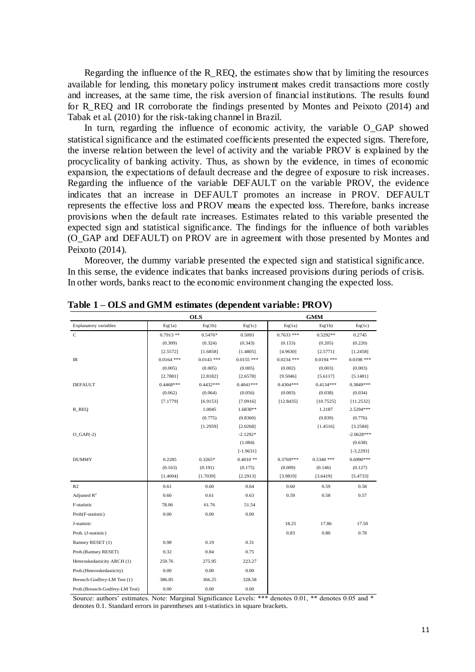Regarding the influence of the R\_REQ, the estimates show that by limiting the resources available for lending, this monetary policy instrument makes credit transactions more costly and increases, at the same time, the risk aversion of financial institutions. The results found for R\_REQ and IR corroborate the findings presented by Montes and Peixoto (2014) and Tabak et al. (2010) for the risk-taking channel in Brazil.

In turn, regarding the influence of economic activity, the variable O\_GAP showed statistical significance and the estimated coefficients presented the expected signs. Therefore, the inverse relation between the level of activity and the variable PROV is explained by the procyclicality of banking activity. Thus, as shown by the evidence, in times of economic expansion, the expectations of default decrease and the degree of exposure to risk increases. Regarding the influence of the variable DEFAULT on the variable PROV, the evidence indicates that an increase in DEFAULT promotes an increase in PROV. DEFAULT represents the effective loss and PROV means the expected loss. Therefore, banks increase provisions when the default rate increases. Estimates related to this variable presented the expected sign and statistical significance. The findings for the influence of both variables (O\_GAP and DEFAULT) on PROV are in agreement with those presented by Montes and Peixoto (2014).

Moreover, the dummy variable presented the expected sign and statistical significance. In this sense, the evidence indicates that banks increased provisions during periods of crisis. In other words, banks react to the economic environment changing the expected loss.

|                                | <b>OLS</b>   |              |              | <b>GMM</b>   |              |              |  |
|--------------------------------|--------------|--------------|--------------|--------------|--------------|--------------|--|
| <b>Explanatory variables</b>   | Eq(1a)       | Eq(1b)       | Eq(1c)       | Eq(1a)       | Eq(1b)       | Eq(1c)       |  |
| $\mathbf C$                    | $0.7913**$   | 0.5476*      | 0.5093       | $0.7633$ *** | 0.5292**     | 0.2745       |  |
|                                | (0.309)      | (0.324)      | (0.343)      | (0.153)      | (0.205)      | (0.220)      |  |
|                                | [2.5572]     | [1.6858]     | [1.4805]     | [4.9630]     | [2.5771]     | [1.2458]     |  |
| IR                             | $0.0164$ *** | $0.0143$ *** | $0.0155$ *** | $0.0234$ *** | $0.0194$ *** | $0.0198$ *** |  |
|                                | (0.005)      | (0.005)      | (0.005)      | (0.002)      | (0.003)      | (0.003)      |  |
|                                | [2.7881]     | [2.8182]     | [2.6578]     | [9.5046]     | [5.6117]     | [5.1481]     |  |
| <b>DEFAULT</b>                 | $0.4468***$  | $0.4432***$  | $0.4041***$  | $0.4304***$  | $0.4134***$  | 0.3849***    |  |
|                                | (0.062)      | (0.064)      | (0.056)      | (0.003)      | (0.038)      | (0.034)      |  |
|                                | [7.1779]     | [6.9153]     | [7.0916]     | [12.8435]    | [10.7525]    | [11.2532]    |  |
| R_REQ                          |              | 1.0045       | 1.6838**     |              | 1.2187       | 2.5294 ***   |  |
|                                |              | (0.775)      | (0.8360)     |              | (0.839)      | (0.776)      |  |
|                                |              | [1.2959]     | [2.0268]     |              | [1.4516]     | [3.2584]     |  |
| $O_GAP(-2)$                    |              |              | $-2.1292*$   |              |              | $-2.0628***$ |  |
|                                |              |              | (1.084)      |              |              | (0.638)      |  |
|                                |              |              | $[-1.9631]$  |              |              | $[-3.2293]$  |  |
| <b>DUMMY</b>                   | 0.2285       | $0.3265*$    | $0.4010**$   | $0.3769***$  | $0.5340$ *** | 0.6990 ***   |  |
|                                | (0.163)      | (0.191)      | (0.175)      | (0.009)      | (0.146)      | (0.127)      |  |
|                                | [1.4004]     | [1.7039]     | [2.2913]     | [3.9819]     | [3.6419]     | [5.4733]     |  |
| R <sub>2</sub>                 | 0.61         | 0.60         | 0.64         | 0.60         | 0.59         | 0.58         |  |
| Adjusted $R^2$                 | 0.60         | 0.61         | 0.63         | 0.59         | 0.58         | 0.57         |  |
| F-statistic                    | 78.06        | 61.76        | 51.54        |              |              |              |  |
| Prob(F-statistic)              | 0.00         | 0.00         | 0.00         |              |              |              |  |
| J-statistic                    |              |              |              | 18.25        | 17.86        | 17.50        |  |
| Prob. (J-statistic)            |              |              |              | 0.83         | 0.80         | 0.78         |  |
| Ramsey RESET (1)               | 0.98         | 0.19         | 0.31         |              |              |              |  |
| Prob.(Ramsey RESET)            | 0.32         | 0.84         | 0.75         |              |              |              |  |
| Heteroskedasticity ARCH (1)    | 259.76       | 275.95       | 223.27       |              |              |              |  |
| Prob.(Heteroskedasticity)      | 0.00         | 0.00         | 0.00         |              |              |              |  |
| Breusch-Godfrey-LM Test (1)    | 386.85       | 366.25       | 328.58       |              |              |              |  |
| Prob.(Breusch-Godfrey-LM Test) | 0.00         | 0.00         | 0.00         |              |              |              |  |

Table 1 – OLS and GMM estimates (dependent variable: PROV)

Source: authors' estimates. Note: Marginal Significance Levels: \*\*\* denotes 0.01, \*\* denotes 0.05 and \* denotes 0.1. Standard errors in parentheses ant t-statistics in square brackets.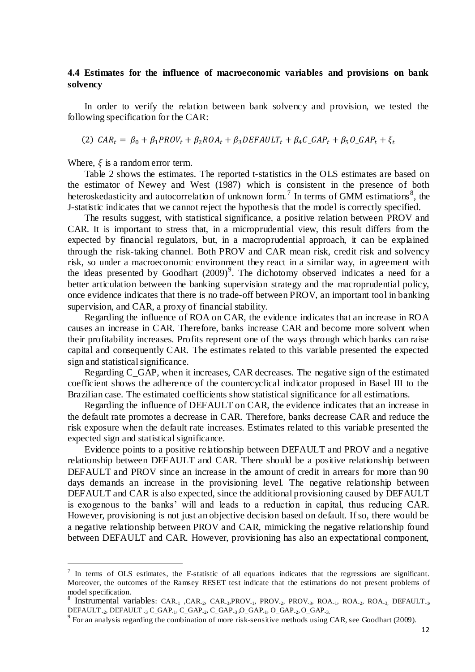### **4.4 Estimates for the influence of macroeconomic variables and provisions on bank solvency**

In order to verify the relation between bank solvency and provision, we tested the following specification for the CAR:

(2)  $CAR_t = \beta_0 + \beta_1 PROV_t + \beta_2 ROA_t + \beta_3 DEFINLT_t + \beta_4 C_GAP_t + \beta_5 O_GAP_t + \xi_t$ 

Where,  $\xi$  is a random error term.

 $\overline{a}$ 

Table 2 shows the estimates. The reported t-statistics in the OLS estimates are based on the estimator of Newey and West (1987) which is consistent in the presence of both heteroskedasticity and autocorrelation of unknown form.<sup>7</sup> In terms of GMM estimations<sup>8</sup>, the J-statistic indicates that we cannot reject the hypothesis that the model is correctly specified.

The results suggest, with statistical significance, a positive relation between PROV and CAR. It is important to stress that, in a microprudential view, this result differs from the expected by financial regulators, but, in a macroprudential approach, it can be explained through the risk-taking channel. Both PROV and CAR mean risk, credit risk and solvency risk, so under a macroeconomic environment they react in a similar way, in agreement with the ideas presented by Goodhart  $(2009)^9$ . The dichotomy observed indicates a need for a better articulation between the banking supervision strategy and the macroprudential policy, once evidence indicates that there is no trade-off between PROV, an important tool in banking supervision, and CAR, a proxy of financial stability.

Regarding the influence of ROA on CAR, the evidence indicates that an increase in ROA causes an increase in CAR. Therefore, banks increase CAR and become more solvent when their profitability increases. Profits represent one of the ways through which banks can raise capital and consequently CAR. The estimates related to this variable presented the expected sign and statistical significance.

Regarding C\_GAP, when it increases, CAR decreases. The negative sign of the estimated coefficient shows the adherence of the countercyclical indicator proposed in Basel III to the Brazilian case. The estimated coefficients show statistical significance for all estimations.

Regarding the influence of DEFAULT on CAR, the evidence indicates that an increase in the default rate promotes a decrease in CAR. Therefore, banks decrease CAR and reduce the risk exposure when the default rate increases. Estimates related to this variable presented the expected sign and statistical significance.

Evidence points to a positive relationship between DEFAULT and PROV and a negative relationship between DEFAULT and CAR. There should be a positive relationship between DEFAULT and PROV since an increase in the amount of credit in arrears for more than 90 days demands an increase in the provisioning level. The negative relationship between DEFAULT and CAR is also expected, since the additional provisioning caused by DEFAULT is exogenous to the banks' will and leads to a reduction in capital, thus reducing CAR. However, provisioning is not just an objective decision based on default. If so, there would be a negative relationship between PROV and CAR, mimicking the negative relationship found between DEFAULT and CAR. However, provisioning has also an expectational component,

 $<sup>7</sup>$  In terms of OLS estimates, the F-statistic of all equations indicates that the regressions are significant.</sup> Moreover, the outcomes of the Ramsey RESET test indicate that the estimations do not present problems of model specification.

<sup>&</sup>lt;sup>8</sup> Instrumental variables: CAR<sub>-1</sub>, CAR<sub>-2</sub>, CAR<sub>-3</sub>, PROV<sub>-1</sub>, PROV<sub>-2</sub>, PROV<sub>-3</sub>, ROA<sub>-1</sub>, ROA<sub>-2</sub>, ROA<sub>-3</sub>, DEFAULT<sub>-1</sub>, DEFAULT-2, DEFAULT -3 C\_GAP-1, C\_GAP-2, C\_GAP-3 ,O\_GAP-1, O\_GAP-2, O\_GAP-3.

 $9^9$  For an analysis regarding the combination of more risk-sensitive methods using CAR, see Goodhart (2009).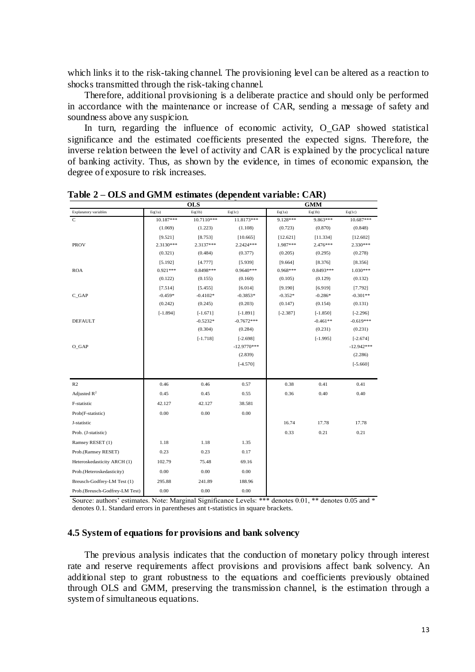which links it to the risk-taking channel. The provisioning level can be altered as a reaction to shocks transmitted through the risk-taking channel.

Therefore, additional provisioning is a deliberate practice and should only be performed in accordance with the maintenance or increase of CAR, sending a message of safety and soundness above any suspicion.

In turn, regarding the influence of economic activity, O\_GAP showed statistical significance and the estimated coefficients presented the expected signs. Therefore, the inverse relation between the level of activity and CAR is explained by the procyclical nature of banking activity. Thus, as shown by the evidence, in times of economic expansion, the degree of exposure to risk increases.

|                                | <b>OLS</b> |            |               | <b>GMM</b> |            |              |
|--------------------------------|------------|------------|---------------|------------|------------|--------------|
| <b>Explanatory variables</b>   | Eq(1a)     | Eq(1b)     | Eq(1c)        | Eq(1a)     | Eq(1b)     | Eq(1c)       |
| $\mathsf{C}$                   | 10.187***  | 10.7110*** | 11.8173***    | 9.128***   | 9.863***   | $10.687***$  |
|                                | (1.069)    | (1.223)    | (1.108)       | (0.723)    | (0.870)    | (0.848)      |
|                                | [9.521]    | [8.753]    | [10.665]      | [12.621]   | [11.334]   | [12.602]     |
| <b>PROV</b>                    | 2.3130***  | 2.3137***  | 2.2424 ***    | 1.987***   | 2.476***   | 2.330***     |
|                                | (0.321)    | (0.484)    | (0.377)       | (0.205)    | (0.295)    | (0.278)      |
|                                | [5.192]    | [4.777]    | [5.939]       | [9.664]    | [8.376]    | [8.356]      |
| <b>ROA</b>                     | $0.921***$ | 0.8498***  | 0.9640 ***    | 0.968***   | 0.8493 *** | 1.030***     |
|                                | (0.122)    | (0.155)    | (0.160)       | (0.105)    | (0.129)    | (0.132)      |
|                                | [7.514]    | [5.455]    | [6.014]       | [9.190]    | [6.919]    | [7.792]      |
| $C_GAP$                        | $-0.459*$  | $-0.4102*$ | $-0.3853*$    | $-0.352*$  | $-0.286*$  | $-0.301**$   |
|                                | (0.242)    | (0.245)    | (0.203)       | (0.147)    | (0.154)    | (0.131)      |
|                                | $[-1.894]$ | $[-1.671]$ | $[-1.891]$    | $[-2.387]$ | $[-1.850]$ | $[-2.296]$   |
| <b>DEFAULT</b>                 |            | $-0.5232*$ | $-0.7672***$  |            | $-0.461**$ | $-0.619***$  |
|                                |            | (0.304)    | (0.284)       |            | (0.231)    | (0.231)      |
|                                |            | $[-1.718]$ | $[-2.698]$    |            | $[-1.995]$ | $[-2.674]$   |
| O_GAP                          |            |            | $-12.9770***$ |            |            | $-12.942***$ |
|                                |            |            | (2.839)       |            |            | (2.286)      |
|                                |            |            | $[-4.570]$    |            |            | $[-5.660]$   |
|                                |            |            |               |            |            |              |
| R2                             | 0.46       | 0.46       | 0.57          | 0.38       | 0.41       | 0.41         |
| Adjusted $R^2$                 | 0.45       | 0.45       | 0.55          | 0.36       | 0.40       | 0.40         |
| F-statistic                    | 42.127     | 42.127     | 38.581        |            |            |              |
| Prob(F-statistic)              | 0.00       | 0.00       | 0.00          |            |            |              |
| J-statistic                    |            |            |               | 16.74      | 17.78      | 17.78        |
| Prob. (J-statistic)            |            |            |               | 0.33       | 0.21       | 0.21         |
| Ramsey RESET (1)               | 1.18       | 1.18       | 1.35          |            |            |              |
| Prob.(Ramsey RESET)            | 0.23       | 0.23       | 0.17          |            |            |              |
| Heteroskedasticity ARCH (1)    | 102.79     | 75.48      | 69.16         |            |            |              |
| Prob.(Heteroskedasticity)      | 0.00       | 0.00       | 0.00          |            |            |              |
| Breusch-Godfrey-LM Test (1)    | 295.88     | 241.89     | 188.96        |            |            |              |
| Prob.(Breusch-Godfrey-LM Test) | 0.00       | 0.00       | 0.00          |            |            |              |

**Table 2 – OLS and GMM estimates (dependent variable: CAR) Table 2 – OLS and GMM estimates (dependent variable: CAR)**

Source: authors' estimates. Note: Marginal Significance Levels: \*\*\* denotes 0.01, \*\* denotes 0.05 and \* denotes 0.1. Standard errors in parentheses ant t-statistics in square brackets.

### **4.5 System of equations for provisions and bank solvency**

The previous analysis indicates that the conduction of monetary policy through interest rate and reserve requirements affect provisions and provisions affect bank solvency. An additional step to grant robustness to the equations and coefficients previously obtained through OLS and GMM, preserving the transmission channel, is the estimation through a system of simultaneous equations.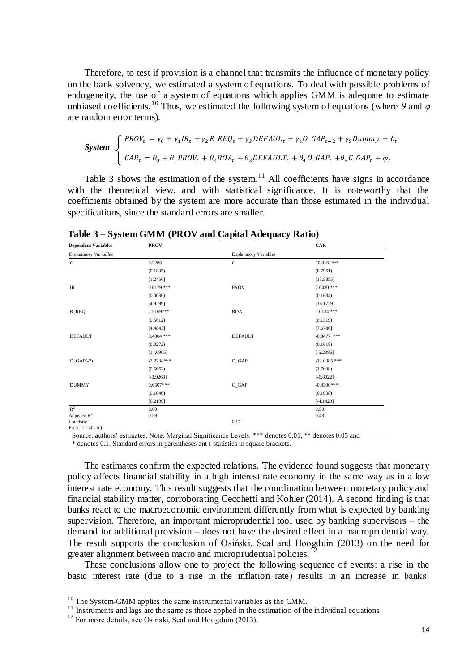Therefore, to test if provision is a channel that transmits the influence of monetary policy on the bank solvency, we estimated a system of equations. To deal with possible problems of endogeneity, the use of a system of equations which applies GMM is adequate to estimate unbiased coefficients.<sup>10</sup> Thus, we estimated the following system of equations (where  $\theta$  and  $\varphi$ are random error terms).

$$
\text{System} \begin{cases} \text{PROV}_t = \gamma_0 + \gamma_1 IR_t + \gamma_2 R \_ \text{REG}_t + \gamma_3 \text{DEFAUL}_t + \gamma_4 O \_ \text{GAP}_{t-2} + \gamma_5 \text{Dummy} + \vartheta_t \\ \text{CAR}_t = \theta_0 + \theta_1 \text{PROV}_t + \theta_2 \text{ROA}_t + \theta_3 \text{DEFAULT}_t + \theta_4 O \_ \text{GAP}_t + \theta_5 C \_ \text{GAP}_t + \varphi_t \end{cases}
$$

Table 3 shows the estimation of the system.<sup>11</sup> All coefficients have signs in accordance with the theoretical view, and with statistical significance. It is noteworthy that the coefficients obtained by the system are more accurate than those estimated in the individual specifications, since the standard errors are smaller.

| <b>Dependent Variables</b>         | <b>PROV</b>  |                              | CAR            |
|------------------------------------|--------------|------------------------------|----------------|
| <b>Explanatory Variables</b>       |              | <b>Explanatory Variables</b> |                |
| $\cal C$                           | 0.2286       | $\mathcal{C}_{\mathcal{C}}$  | 10.8161***     |
|                                    | (0.1835)     |                              | (0.7961)       |
|                                    | [1.2456]     |                              | [13.5855]      |
| $\ensuremath{\mathsf{IR}}\xspace$  | $0.0179$ *** | <b>PROV</b>                  | $2.6430$ ***   |
|                                    | (0.0036)     |                              | (0.1634)       |
|                                    | [4.9299]     |                              | [16.1729]      |
| R_REQ                              | 2.5169***    | <b>ROA</b>                   | $1.0134$ ***   |
|                                    | (0.5612)     |                              | (0.1319)       |
|                                    | [4.4843]     |                              | [7.6780]       |
| <b>DEFAULT</b>                     | $0.4004$ *** | <b>DEFAULT</b>               | $-0.8477$ ***  |
|                                    | (0.0272)     |                              | (0.1618)       |
|                                    | [14.6905]    |                              | $[-5.2386]$    |
| $O_GAP(-2)$                        | $-2.2234***$ | $O_GAP$                      | $-12.0385$ *** |
|                                    | (0.5662)     |                              | (1.7698)       |
|                                    | $[-3.9263]$  |                              | $[-6.8022]$    |
| <b>DUMMY</b>                       | $0.6507***$  | $C_GAP$                      | $-0.4300***$   |
|                                    | (0.1046)     |                              | (0.1038)       |
|                                    | [6.2199]     |                              | $[-4.1420]$    |
| $R^2$                              | 0.60         |                              | 0.50           |
| Adjusted $R^2$                     | 0.59         |                              | 0.48           |
| J-statistic<br>Prob. (J-statistic) |              | 0.17                         |                |

**Table 3 – System GMM (PROV and Capital Adequacy Ratio) Table 3 – System GMM (PROV and Capital Adequacy Ratio)** 

 Source: authors' estimates. Note: Marginal Significance Levels: \*\*\* denotes 0.01, \*\* denotes 0.05 and \* denotes 0.1. Standard errors in parentheses ant t-statistics in square brackets.

The estimates confirm the expected relations. The evidence found suggests that monetary policy affects financial stability in a high interest rate economy in the same way as in a low interest rate economy. This result suggests that the coordination between monetary policy and financial stability matter, corroborating Cecchetti and Kohler (2014). A second finding is that banks react to the macroeconomic environment differently from what is expected by banking supervision. Therefore, an important microprudential tool used by banking supervisors – the demand for additional provision – does not have the desired effect in a macroprudential way. The result supports the conclusion of Osiński, Seal and Hoogduin (2013) on the need for greater alignment between macro and microprudential policies.<sup>12</sup>

These conclusions allow one to project the following sequence of events: a rise in the basic interest rate (due to a rise in the inflation rate) results in an increase in banks'

 $10$  The System-GMM applies the same instrumental variables as the GMM.

 $11$  Instruments and lags are the same as those applied in the estimation of the individual equations.

 $12$  For more details, see Osiński, Seal and Hoogduin (2013).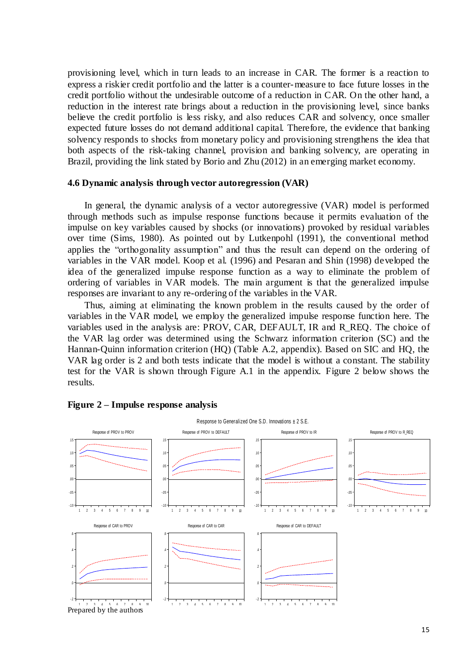provisioning level, which in turn leads to an increase in CAR. The former is a reaction to express a riskier credit portfolio and the latter is a counter-measure to face future losses in the credit portfolio without the undesirable outcome of a reduction in CAR. On the other hand, a reduction in the interest rate brings about a reduction in the provisioning level, since banks believe the credit portfolio is less risky, and also reduces CAR and solvency, once smaller expected future losses do not demand additional capital. Therefore, the evidence that banking solvency responds to shocks from monetary policy and provisioning strengthens the idea that both aspects of the risk-taking channel, provision and banking solvency, are operating in Brazil, providing the link stated by Borio and Zhu (2012) in an emerging market economy.

### **4.6 Dynamic analysis through vector autoregression (VAR)**

In general, the dynamic analysis of a vector autoregressive (VAR) model is performed through methods such as impulse response functions because it permits evaluation of the impulse on key variables caused by shocks (or innovations) provoked by residual variables over time (Sims, 1980). As pointed out by Lutkenpohl (1991), the conventional method applies the "orthogonality assumption" and thus the result can depend on the ordering of variables in the VAR model. Koop et al. (1996) and Pesaran and Shin (1998) developed the idea of the generalized impulse response function as a way to eliminate the problem of ordering of variables in VAR models. The main argument is that the generalized impulse responses are invariant to any re-ordering of the variables in the VAR.

Thus, aiming at eliminating the known problem in the results caused by the order of variables in the VAR model, we employ the generalized impulse response function here. The variables used in the analysis are: PROV, CAR, DEFAULT, IR and R\_REQ. The choice of the VAR lag order was determined using the Schwarz information criterion (SC) and the Hannan-Quinn information criterion (HQ) (Table A.2, appendix). Based on SIC and HQ, the VAR lag order is 2 and both tests indicate that the model is without a constant. The stability test for the VAR is shown through Figure A.1 in the appendix. Figure 2 below shows the results.



#### **Figure 2 – Impulse response analysis**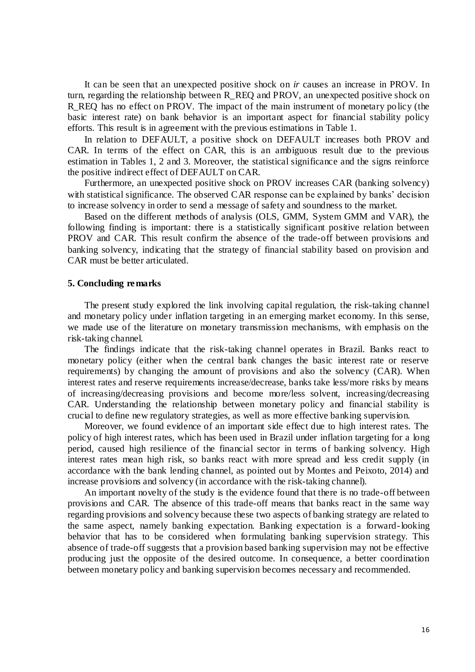It can be seen that an unexpected positive shock on *ir* causes an increase in PROV. In turn, regarding the relationship between R\_REQ and PROV, an unexpected positive shock on R\_REQ has no effect on PROV. The impact of the main instrument of monetary policy (the basic interest rate) on bank behavior is an important aspect for financial stability policy efforts. This result is in agreement with the previous estimations in Table 1.

In relation to DEFAULT, a positive shock on DEFAULT increases both PROV and CAR. In terms of the effect on CAR, this is an ambiguous result due to the previous estimation in Tables 1, 2 and 3. Moreover, the statistical significance and the signs reinforce the positive indirect effect of DEFAULT on CAR.

Furthermore, an unexpected positive shock on PROV increases CAR (banking solvency) with statistical significance. The observed CAR response can be explained by banks' decision to increase solvency in order to send a message of safety and soundness to the market.

Based on the different methods of analysis (OLS, GMM, System GMM and VAR), the following finding is important: there is a statistically significant positive relation between PROV and CAR. This result confirm the absence of the trade-off between provisions and banking solvency, indicating that the strategy of financial stability based on provision and CAR must be better articulated.

#### **5. Concluding remarks**

The present study explored the link involving capital regulation, the risk-taking channel and monetary policy under inflation targeting in an emerging market economy. In this sense, we made use of the literature on monetary transmission mechanisms, with emphasis on the risk-taking channel.

The findings indicate that the risk-taking channel operates in Brazil. Banks react to monetary policy (either when the central bank changes the basic interest rate or reserve requirements) by changing the amount of provisions and also the solvency (CAR). When interest rates and reserve requirements increase/decrease, banks take less/more risks by means of increasing/decreasing provisions and become more/less solvent, increasing/decreasing CAR. Understanding the relationship between monetary policy and financial stability is crucial to define new regulatory strategies, as well as more effective banking supervision.

Moreover, we found evidence of an important side effect due to high interest rates. The policy of high interest rates, which has been used in Brazil under inflation targeting for a long period, caused high resilience of the financial sector in terms of banking solvency. High interest rates mean high risk, so banks react with more spread and less credit supply (in accordance with the bank lending channel, as pointed out by Montes and Peixoto, 2014) and increase provisions and solvency (in accordance with the risk-taking channel).

An important novelty of the study is the evidence found that there is no trade-off between provisions and CAR. The absence of this trade-off means that banks react in the same way regarding provisions and solvency because these two aspects of banking strategy are related to the same aspect, namely banking expectation. Banking expectation is a forward-looking behavior that has to be considered when formulating banking supervision strategy. This absence of trade-off suggests that a provision based banking supervision may not be effective producing just the opposite of the desired outcome. In consequence, a better coordination between monetary policy and banking supervision becomes necessary and recommended.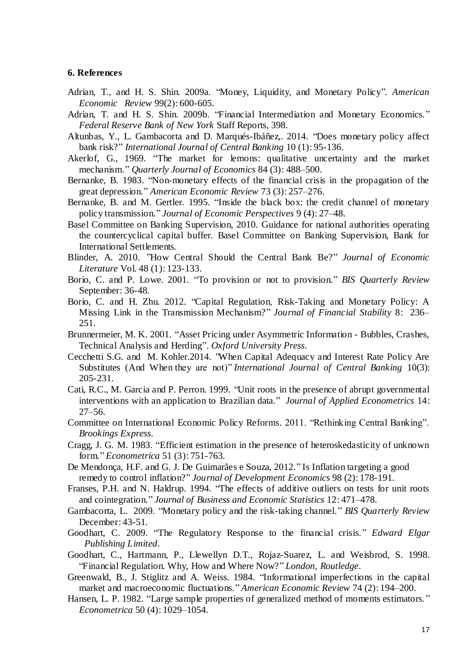#### **6. References**

- Adrian, T., and H. S. Shin. 2009a. "Money, Liquidity, and Monetary Policy". *American Economic Review* 99(2): 600-605.
- Adrian, T. and H. S. Shin. 2009b. "Financial Intermediation and Monetary Economics." *Federal Reserve Bank of New York* Staff Reports*,* 398.
- Altunbas, Y., L. Gambacorta and D. Marqués-Ibáñez,. 2014. "Does monetary policy affect bank risk?" *International Journal of Central Banking* 10 (1): 95-136.
- Akerlof, G., 1969. "The market for lemons: qualitative uncertainty and the market mechanism." *Quarterly Journal of Economics* 84 (3): 488–500.
- Bernanke, B. 1983. "Non-monetary effects of the financial crisis in the propagation of the great depression." *American Economic Review* 73 (3): 257–276.
- Bernanke, B. and M. Gertler. 1995. "Inside the black box: the credit channel of monetary policy transmission." *Journal of Economic Perspectives* 9 (4): 27–48.
- Basel Committee on Banking Supervision, 2010. Guidance for national authorities operating the countercyclical capital buffer. Basel Committee on Banking Supervision, Bank for International Settlements.
- Blinder, A. 2010. "How Central Should the Central Bank Be?" *Journal of Economic Literature* Vol. 48 (1): 123-133.
- Borio, C. and P. Lowe. 2001. "To provision or not to provision." *BIS Quarterly Review* September: 36-48.
- Borio, C. and H. Zhu. 2012. "Capital Regulation, Risk-Taking and Monetary Policy: A Missing Link in the Transmission Mechanism?" *Journal of Financial Stability* 8: 236– 251.
- Brunnermeier, M. K. 2001. "Asset Pricing under Asymmetric Information Bubbles, Crashes, Technical Analysis and Herding". *Oxford University Press*.
- Cecchetti S.G. and M. Kohler.2014. "When Capital Adequacy and Interest Rate Policy Are Substitutes (And When they are not)" *[International Journal of Central Banking](http://ideas.repec.org/s/ijc/ijcjou.html)* 10(3): 205-231.
- Cati, R.C., M. Garcia and P. Perron. 1999. "Unit roots in the presence of abrupt governmental interventions with an application to Brazilian data." *Journal of Applied Econometrics* 14: 27–56.
- Committee on International Economic Policy Reforms. 2011. "Rethinking Central Banking". *Brookings Express*.
- Cragg, J. G. M. 1983. "Efficient estimation in the presence of heteroskedasticity of unknown form." *Econometrica* 51 (3): 751-763.
- De Mendonça, H.F. and G. J. De Guimarães e Souza, 2012." Is Inflation targeting a good remedy to control inflation?" *Journal of Development Economics* 98 (2): 178-191.
- Franses, P.H. and N. Haldrup. 1994. "The effects of additive outliers on tests for unit roots and cointegration." *Journal of Business and Economic Statistics* 12: 471–478.
- Gambacorta, L. 2009. "Monetary policy and the risk-taking channel." *BIS Quarterly Review* December: 43-51.
- Goodhart, C. 2009. "The Regulatory Response to the financial crisis." *Edward Elgar Publishing Limited*.
- Goodhart, C., Hartmann, P., Llewellyn D.T., Rojaz-Suarez, L. and Weisbrod, S. 1998. "Financial Regulation. Why, How and Where Now?" *London, Routledge*.
- Greenwald, B., J. Stiglitz and A. Weiss. 1984. "Informational imperfections in the capital market and macroeconomic fluctuations." *American Economic Review* 74 (2): 194–200.
- Hansen, L. P. 1982. "Large sample properties of generalized method of moments estimators. " *Econometrica* 50 (4): 1029–1054.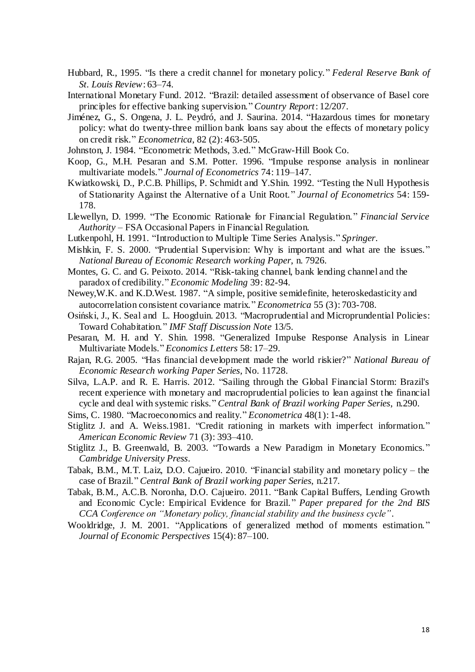- Hubbard, R., 1995. "Is there a credit channel for monetary policy." *Federal Reserve Bank of St. Louis Review*: 63–74.
- International Monetary Fund. 2012. "Brazil: detailed assessment of observance of Basel core principles for effective banking supervision." *Country Report*: 12/207.
- Jiménez, G., S. Ongena, J. L. Peydró, and J. Saurina. 2014. "Hazardous times for monetary policy: what do twenty-three million bank loans say about the effects of monetary policy on credit risk." *Econometrica*, 82 (2): 463-505.
- Johnston, J. 1984. "Econometric Methods, 3.ed." McGraw-Hill Book Co.
- [Koop,](http://www.sciencedirect.com/science?_ob=ArticleURL&_udi=B6V8V-4K0FFB5-1&_user=686357&_coverDate=05%2F15%2F2007&_rdoc=1&_fmt=high&_orig=search&_sort=d&_docanchor=&view=c&_searchStrId=1290440164&_rerunOrigin=google&_acct=C000037518&_version=1&_urlVersion=0&_userid=686357&md5=f6448d41e223401f122fd05dc26410f7#bbib23) G., M.H. Pesaran and S.M. Potter. 1996. "Impulse response analysis in nonlinear multivariate models." *Journal of Econometrics* 74: 119–147.
- Kwiatkowski, D., P.C.B. Phillips, P. Schmidt and Y.Shin. 1992. "Testing the Null Hypothesis of Stationarity Against the Alternative of a Unit Root. " *Journal of Econometrics* 54: 159- 178.
- Llewellyn, D. 1999. "The Economic Rationale for Financial Regulation." *Financial Service Authority* – FSA Occasional Papers in Financial Regulation.
- Lutkenpohl, H. 1991. "Introduction to Multiple Time Series Analysis." *Springer*.
- Mishkin, F. S. 2000. "Prudential Supervision: Why is important and what are the issues." *National Bureau of Economic Research working Paper*, n. 7926.
- Montes, G. C. and G. Peixoto. 2014. "Risk-taking channel, bank lending channel and the paradox of credibility." *Economic Modeling* 39: 82-94.
- Newey,W.K. and K.D.West. 1987. "A simple, positive semidefinite, heteroskedasticity and autocorrelation consistent covariance matrix." *Econometrica* 55 (3): 703-708.
- Osiński, J., K. Seal and L. Hoogduin. 2013. "Macroprudential and Microprundential Policies: Toward Cohabitation." *IMF Staff Discussion Note* 13/5.
- Pesaran, M. H. and Y. Shin. 1998. "Generalized Impulse Response Analysis in Linear Multivariate Models." *Economics Letters* 58: 17–29.
- Rajan, R.G. 2005. "Has financial development made the world riskier?" *National Bureau of Economic Research working Paper Series*, No. 11728.
- Silva, L.A.P. and R. E. Harris. 2012. "Sailing through the Global Financial Storm: Brazil's recent experience with monetary and macroprudential policies to lean against the financial cycle and deal with systemic risks." *Central Bank of Brazil working Paper Series*, n.290.
- Sims, C. 1980. "Macroeconomics and reality." *Econometrica* 48(1): 1-48.
- Stiglitz J. and A. Weiss.1981. "Credit rationing in markets with imperfect information." *American Economic Review* 71 (3): 393–410.
- Stiglitz J., B. Greenwald, B. 2003. "Towards a New Paradigm in Monetary Economics." *Cambridge University Press*.
- Tabak, B.M., M.T. Laiz, D.O. Cajueiro. 2010. "Financial stability and monetary policy the case of Brazil." *Central Bank of Brazil working paper Series*, n.217*.*
- Tabak, B.M., A.C.B. Noronha, D.O. Cajueiro. 2011. "Bank Capital Buffers, Lending Growth and Economic Cycle: Empirical Evidence for Brazil." *Paper prepared for the 2nd BIS CCA Conference on "Monetary policy, financial stability and the business cycle"*.
- Wooldridge, J. M. 2001. "Applications of generalized method of moments estimation. " *Journal of Economic Perspectives* 15(4): 87–100.